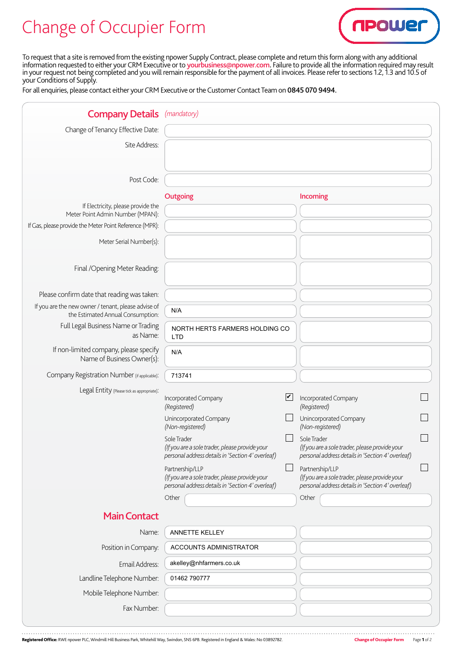## Change of Occupier Form



To request that a site is removed from the existing npower Supply Contract, please complete and return this form along with any additional information requested to either your CRM Executive or to yourbusiness@npower.com. Failure to provide all the information required may result in your request not being completed and you will remain responsible for the payment of all invoices. Please refer to sections 1.2, 1.3 and 10.5 of your Conditions of Supply.

For all enquiries, please contact either your CRM Executive or the Customer Contact Team on 0845 070 9494.

| <b>Company Details</b> (mandatory)                                                       |                                                                                                                                 |                                                                                                                                 |
|------------------------------------------------------------------------------------------|---------------------------------------------------------------------------------------------------------------------------------|---------------------------------------------------------------------------------------------------------------------------------|
| Change of Tenancy Effective Date:                                                        |                                                                                                                                 |                                                                                                                                 |
| Site Address:                                                                            |                                                                                                                                 |                                                                                                                                 |
|                                                                                          |                                                                                                                                 |                                                                                                                                 |
| Post Code:                                                                               |                                                                                                                                 |                                                                                                                                 |
|                                                                                          | Outgoing                                                                                                                        | Incoming                                                                                                                        |
| If Electricity, please provide the<br>Meter Point Admin Number (MPAN):                   |                                                                                                                                 |                                                                                                                                 |
| If Gas, please provide the Meter Point Reference (MPR):                                  |                                                                                                                                 |                                                                                                                                 |
| Meter Serial Number(s):                                                                  |                                                                                                                                 |                                                                                                                                 |
| Final / Opening Meter Reading:                                                           |                                                                                                                                 |                                                                                                                                 |
| Please confirm date that reading was taken:                                              |                                                                                                                                 |                                                                                                                                 |
| If you are the new owner / tenant, please advise of<br>the Estimated Annual Consumption: | N/A                                                                                                                             |                                                                                                                                 |
| Full Legal Business Name or Trading<br>as Name:                                          | NORTH HERTS FARMERS HOLDING CO<br><b>LTD</b>                                                                                    |                                                                                                                                 |
| If non-limited company, please specify<br>Name of Business Owner(s):                     | N/A                                                                                                                             |                                                                                                                                 |
| Company Registration Number (if applicable):                                             | 713741                                                                                                                          |                                                                                                                                 |
| Legal Entity (Please tick as appropriate):                                               |                                                                                                                                 |                                                                                                                                 |
|                                                                                          | $\blacktriangledown$<br>Incorporated Company<br>(Registered)                                                                    | Incorporated Company<br>(Registered)                                                                                            |
|                                                                                          | Unincorporated Company<br>(Non-registered)                                                                                      | Unincorporated Company<br>(Non-registered)                                                                                      |
|                                                                                          | Sole Trader<br>(If you are a sole trader, please provide your<br>personal address details in 'Section 4' overleaf)              | Sole Trader<br>(If you are a sole trader, please provide your<br>personal address details in 'Section 4' overleaf)              |
|                                                                                          | Partnership/LLP<br>(If you are a sole trader, please provide your<br>personal address details in 'Section 4' overleaf)<br>Other | Partnership/LLP<br>(If you are a sole trader, please provide your<br>personal address details in 'Section 4' overleaf)<br>Other |
|                                                                                          |                                                                                                                                 |                                                                                                                                 |
| <b>Main Contact</b>                                                                      |                                                                                                                                 |                                                                                                                                 |
| Name:                                                                                    | ANNETTE KELLEY                                                                                                                  |                                                                                                                                 |
| Position in Company:                                                                     | ACCOUNTS ADMINISTRATOR                                                                                                          |                                                                                                                                 |
| Email Address:                                                                           | akelley@nhfarmers.co.uk                                                                                                         |                                                                                                                                 |
| Landline Telephone Number:                                                               | 01462 790777                                                                                                                    |                                                                                                                                 |
| Mobile Telephone Number:                                                                 |                                                                                                                                 |                                                                                                                                 |
| Fax Number:                                                                              |                                                                                                                                 |                                                                                                                                 |

Registered Office: RWE npower PLC, Windmill Hill Business Park, Whitehill Way, Swindon, SN5 6PB. Registered in England & Wales: No 03892782. Change of Occupier Form Page 1 of 2